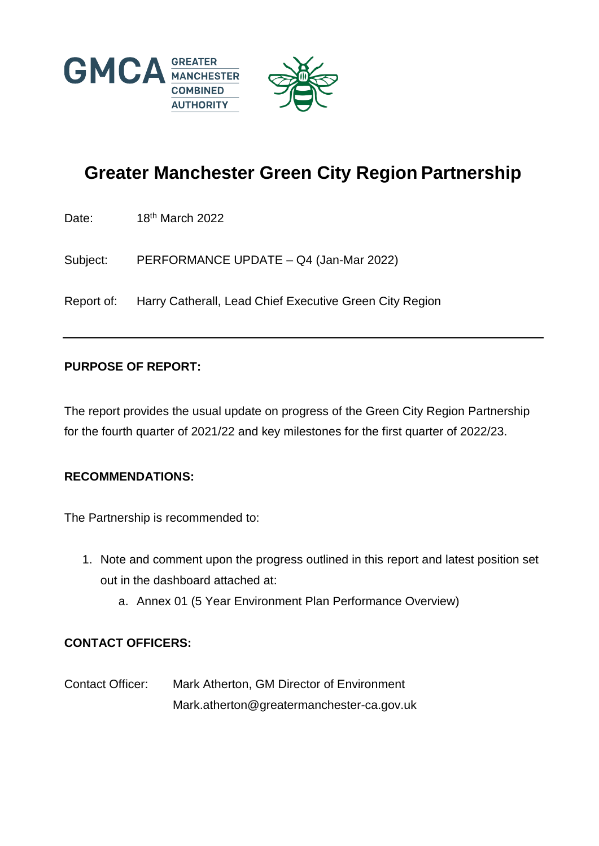

# **Greater Manchester Green City Region Partnership**

Date: 18th March 2022

Subject: PERFORMANCE UPDATE – Q4 (Jan-Mar 2022)

Report of: Harry Catherall, Lead Chief Executive Green City Region

#### **PURPOSE OF REPORT:**

The report provides the usual update on progress of the Green City Region Partnership for the fourth quarter of 2021/22 and key milestones for the first quarter of 2022/23.

#### **RECOMMENDATIONS:**

The Partnership is recommended to:

- 1. Note and comment upon the progress outlined in this report and latest position set out in the dashboard attached at:
	- a. Annex 01 (5 Year Environment Plan Performance Overview)

#### **CONTACT OFFICERS:**

Contact Officer: Mark Atherton, GM Director of Environment Mark.atherton@greatermanchester-ca.gov.uk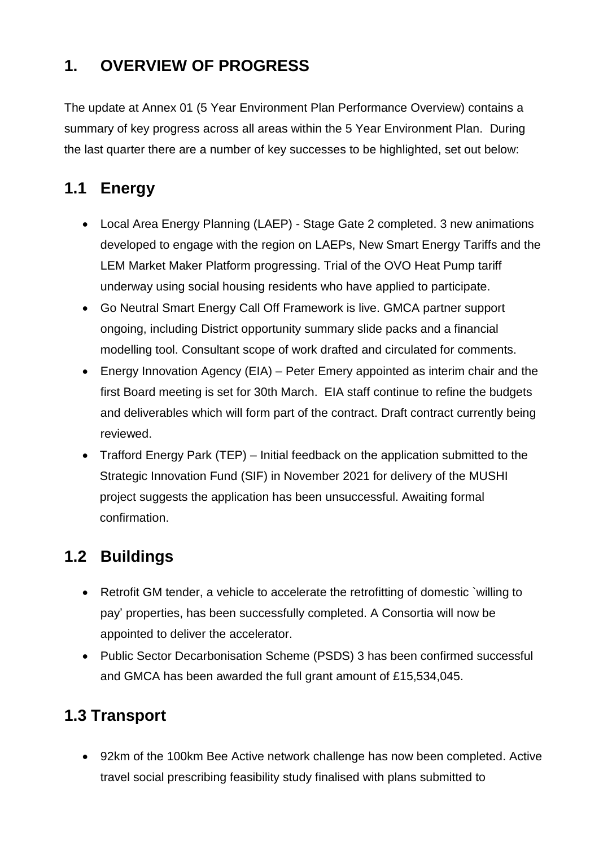# **1. OVERVIEW OF PROGRESS**

The update at Annex 01 (5 Year Environment Plan Performance Overview) contains a summary of key progress across all areas within the 5 Year Environment Plan. During the last quarter there are a number of key successes to be highlighted, set out below:

# **1.1 Energy**

- Local Area Energy Planning (LAEP) Stage Gate 2 completed. 3 new animations developed to engage with the region on LAEPs, New Smart Energy Tariffs and the LEM Market Maker Platform progressing. Trial of the OVO Heat Pump tariff underway using social housing residents who have applied to participate.
- Go Neutral Smart Energy Call Off Framework is live. GMCA partner support ongoing, including District opportunity summary slide packs and a financial modelling tool. Consultant scope of work drafted and circulated for comments.
- Energy Innovation Agency (EIA) Peter Emery appointed as interim chair and the first Board meeting is set for 30th March. EIA staff continue to refine the budgets and deliverables which will form part of the contract. Draft contract currently being reviewed.
- Trafford Energy Park (TEP) Initial feedback on the application submitted to the Strategic Innovation Fund (SIF) in November 2021 for delivery of the MUSHI project suggests the application has been unsuccessful. Awaiting formal confirmation.

### **1.2 Buildings**

- Retrofit GM tender, a vehicle to accelerate the retrofitting of domestic `willing to pay' properties, has been successfully completed. A Consortia will now be appointed to deliver the accelerator.
- Public Sector Decarbonisation Scheme (PSDS) 3 has been confirmed successful and GMCA has been awarded the full grant amount of £15,534,045.

## **1.3 Transport**

 92km of the 100km Bee Active network challenge has now been completed. Active travel social prescribing feasibility study finalised with plans submitted to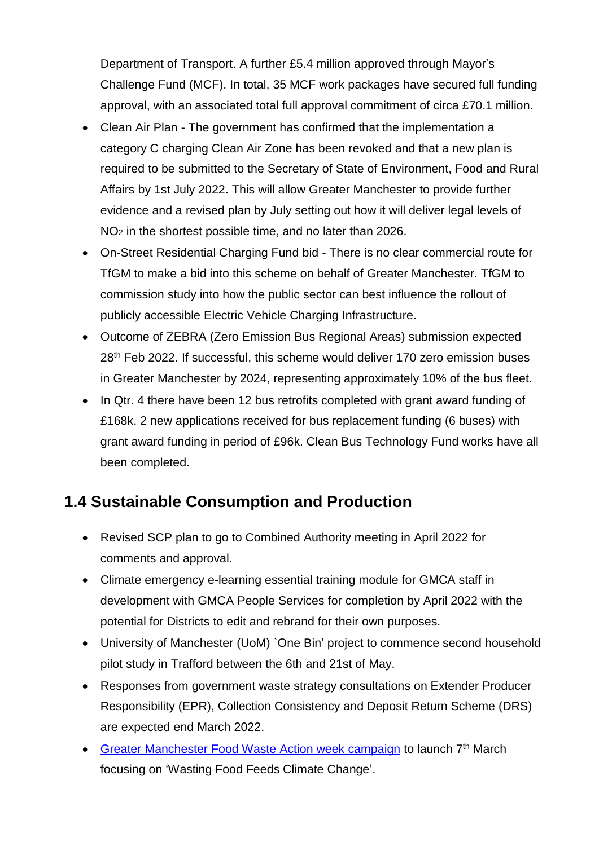Department of Transport. A further £5.4 million approved through Mayor's Challenge Fund (MCF). In total, 35 MCF work packages have secured full funding approval, with an associated total full approval commitment of circa £70.1 million.

- Clean Air Plan The government has confirmed that the implementation a category C charging Clean Air Zone has been revoked and that a new plan is required to be submitted to the Secretary of State of Environment, Food and Rural Affairs by 1st July 2022. This will allow Greater Manchester to provide further evidence and a revised plan by July setting out how it will deliver legal levels of NO<sup>2</sup> in the shortest possible time, and no later than 2026.
- On-Street Residential Charging Fund bid There is no clear commercial route for TfGM to make a bid into this scheme on behalf of Greater Manchester. TfGM to commission study into how the public sector can best influence the rollout of publicly accessible Electric Vehicle Charging Infrastructure.
- Outcome of ZEBRA (Zero Emission Bus Regional Areas) submission expected 28<sup>th</sup> Feb 2022. If successful, this scheme would deliver 170 zero emission buses in Greater Manchester by 2024, representing approximately 10% of the bus fleet.
- In Qtr. 4 there have been 12 bus retrofits completed with grant award funding of £168k. 2 new applications received for bus replacement funding (6 buses) with grant award funding in period of £96k. Clean Bus Technology Fund works have all been completed.

### **1.4 Sustainable Consumption and Production**

- Revised SCP plan to go to Combined Authority meeting in April 2022 for comments and approval.
- Climate emergency e-learning essential training module for GMCA staff in development with GMCA People Services for completion by April 2022 with the potential for Districts to edit and rebrand for their own purposes.
- University of Manchester (UoM) `One Bin' project to commence second household pilot study in Trafford between the 6th and 21st of May.
- Responses from government waste strategy consultations on Extender Producer Responsibility (EPR), Collection Consistency and Deposit Return Scheme (DRS) are expected end March 2022.
- [Greater Manchester Food Waste Action week campaign](https://recycleforgreatermanchester.com/bker) to launch 7<sup>th</sup> March focusing on 'Wasting Food Feeds Climate Change'.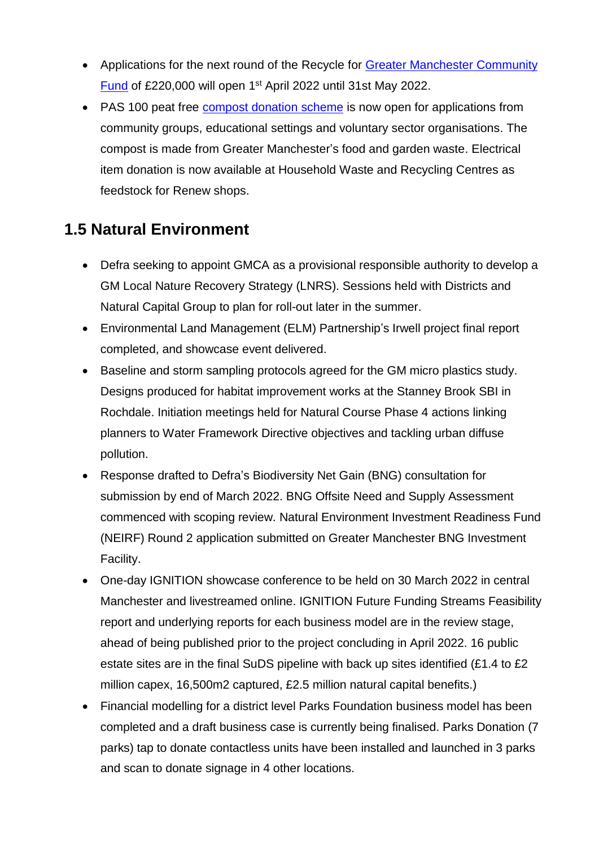- Applications for the next round of the Recycle for Greater Manchester Community [Fund](https://recycleforgreatermanchester.com/community-fund) of £220,000 will open 1st April 2022 until 31st May 2022.
- PAS 100 peat free [compost donation scheme](https://recycleforgreatermanchester.com/compost-donation/) is now open for applications from community groups, educational settings and voluntary sector organisations. The compost is made from Greater Manchester's food and garden waste. Electrical item donation is now available at Household Waste and Recycling Centres as feedstock for Renew shops.

#### **1.5 Natural Environment**

- Defra seeking to appoint GMCA as a provisional responsible authority to develop a GM Local Nature Recovery Strategy (LNRS). Sessions held with Districts and Natural Capital Group to plan for roll-out later in the summer.
- Environmental Land Management (ELM) Partnership's Irwell project final report completed, and showcase event delivered.
- Baseline and storm sampling protocols agreed for the GM micro plastics study. Designs produced for habitat improvement works at the Stanney Brook SBI in Rochdale. Initiation meetings held for Natural Course Phase 4 actions linking planners to Water Framework Directive objectives and tackling urban diffuse pollution.
- Response drafted to Defra's Biodiversity Net Gain (BNG) consultation for submission by end of March 2022. BNG Offsite Need and Supply Assessment commenced with scoping review. Natural Environment Investment Readiness Fund (NEIRF) Round 2 application submitted on Greater Manchester BNG Investment Facility.
- One-day IGNITION showcase conference to be held on 30 March 2022 in central Manchester and livestreamed online. IGNITION Future Funding Streams Feasibility report and underlying reports for each business model are in the review stage, ahead of being published prior to the project concluding in April 2022. 16 public estate sites are in the final SuDS pipeline with back up sites identified (£1.4 to £2 million capex, 16,500m2 captured, £2.5 million natural capital benefits.)
- Financial modelling for a district level Parks Foundation business model has been completed and a draft business case is currently being finalised. Parks Donation (7 parks) tap to donate contactless units have been installed and launched in 3 parks and scan to donate signage in 4 other locations.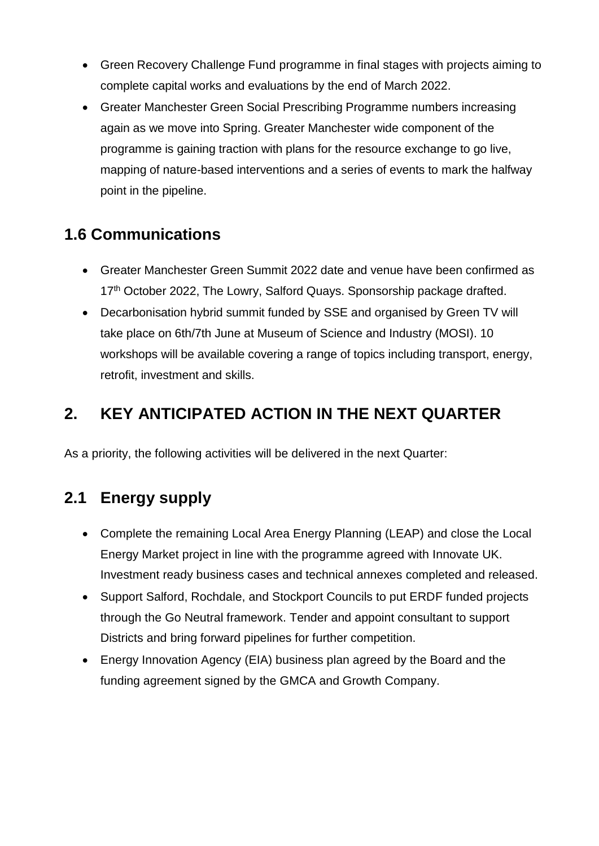- Green Recovery Challenge Fund programme in final stages with projects aiming to complete capital works and evaluations by the end of March 2022.
- Greater Manchester Green Social Prescribing Programme numbers increasing again as we move into Spring. Greater Manchester wide component of the programme is gaining traction with plans for the resource exchange to go live, mapping of nature-based interventions and a series of events to mark the halfway point in the pipeline.

## **1.6 Communications**

- Greater Manchester Green Summit 2022 date and venue have been confirmed as 17<sup>th</sup> October 2022, The Lowry, Salford Quays. Sponsorship package drafted.
- Decarbonisation hybrid summit funded by SSE and organised by Green TV will take place on 6th/7th June at Museum of Science and Industry (MOSI). 10 workshops will be available covering a range of topics including transport, energy, retrofit, investment and skills.

### **2. KEY ANTICIPATED ACTION IN THE NEXT QUARTER**

As a priority, the following activities will be delivered in the next Quarter:

## **2.1 Energy supply**

- Complete the remaining Local Area Energy Planning (LEAP) and close the Local Energy Market project in line with the programme agreed with Innovate UK. Investment ready business cases and technical annexes completed and released.
- Support Salford, Rochdale, and Stockport Councils to put ERDF funded projects through the Go Neutral framework. Tender and appoint consultant to support Districts and bring forward pipelines for further competition.
- Energy Innovation Agency (EIA) business plan agreed by the Board and the funding agreement signed by the GMCA and Growth Company.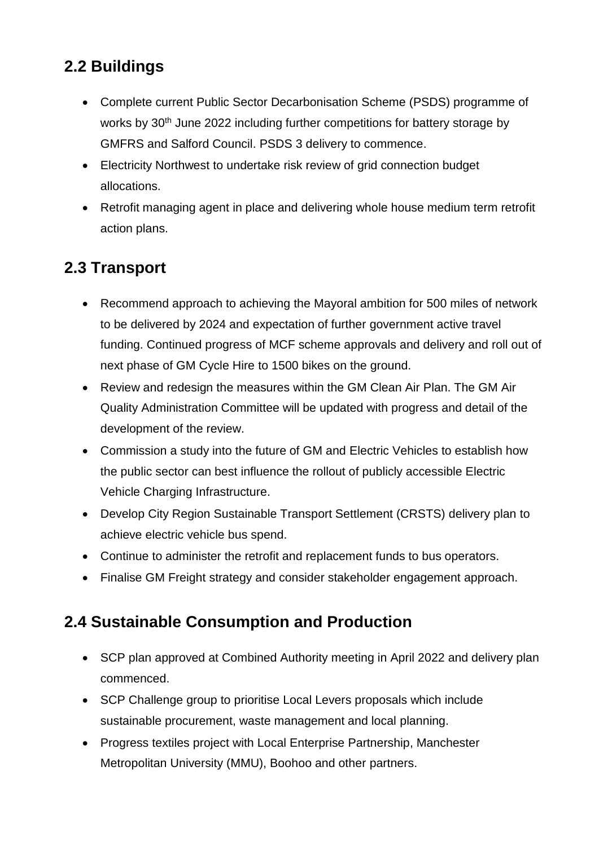## **2.2 Buildings**

- Complete current Public Sector Decarbonisation Scheme (PSDS) programme of works by 30<sup>th</sup> June 2022 including further competitions for battery storage by GMFRS and Salford Council. PSDS 3 delivery to commence.
- Electricity Northwest to undertake risk review of grid connection budget allocations.
- Retrofit managing agent in place and delivering whole house medium term retrofit action plans.

## **2.3 Transport**

- Recommend approach to achieving the Mayoral ambition for 500 miles of network to be delivered by 2024 and expectation of further government active travel funding. Continued progress of MCF scheme approvals and delivery and roll out of next phase of GM Cycle Hire to 1500 bikes on the ground.
- Review and redesign the measures within the GM Clean Air Plan. The GM Air Quality Administration Committee will be updated with progress and detail of the development of the review.
- Commission a study into the future of GM and Electric Vehicles to establish how the public sector can best influence the rollout of publicly accessible Electric Vehicle Charging Infrastructure.
- Develop City Region Sustainable Transport Settlement (CRSTS) delivery plan to achieve electric vehicle bus spend.
- Continue to administer the retrofit and replacement funds to bus operators.
- Finalise GM Freight strategy and consider stakeholder engagement approach.

## **2.4 Sustainable Consumption and Production**

- SCP plan approved at Combined Authority meeting in April 2022 and delivery plan commenced.
- SCP Challenge group to prioritise Local Levers proposals which include sustainable procurement, waste management and local planning.
- Progress textiles project with Local Enterprise Partnership, Manchester Metropolitan University (MMU), Boohoo and other partners.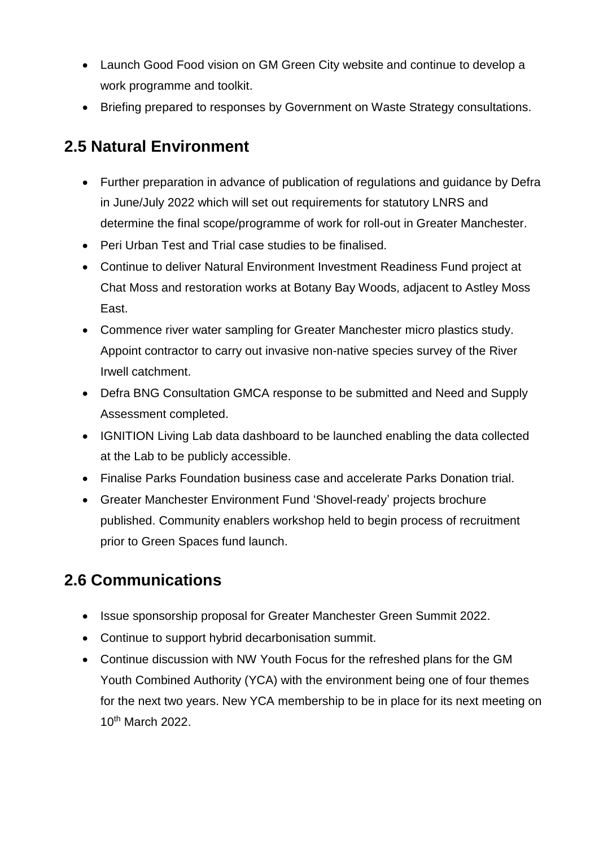- Launch Good Food vision on GM Green City website and continue to develop a work programme and toolkit.
- Briefing prepared to responses by Government on Waste Strategy consultations.

# **2.5 Natural Environment**

- Further preparation in advance of publication of regulations and guidance by Defra in June/July 2022 which will set out requirements for statutory LNRS and determine the final scope/programme of work for roll-out in Greater Manchester.
- Peri Urban Test and Trial case studies to be finalised.
- Continue to deliver Natural Environment Investment Readiness Fund project at Chat Moss and restoration works at Botany Bay Woods, adjacent to Astley Moss East.
- Commence river water sampling for Greater Manchester micro plastics study. Appoint contractor to carry out invasive non-native species survey of the River Irwell catchment.
- Defra BNG Consultation GMCA response to be submitted and Need and Supply Assessment completed.
- IGNITION Living Lab data dashboard to be launched enabling the data collected at the Lab to be publicly accessible.
- Finalise Parks Foundation business case and accelerate Parks Donation trial.
- Greater Manchester Environment Fund 'Shovel-ready' projects brochure published. Community enablers workshop held to begin process of recruitment prior to Green Spaces fund launch.

## **2.6 Communications**

- Issue sponsorship proposal for Greater Manchester Green Summit 2022.
- Continue to support hybrid decarbonisation summit.
- Continue discussion with NW Youth Focus for the refreshed plans for the GM Youth Combined Authority (YCA) with the environment being one of four themes for the next two years. New YCA membership to be in place for its next meeting on 10 th March 2022.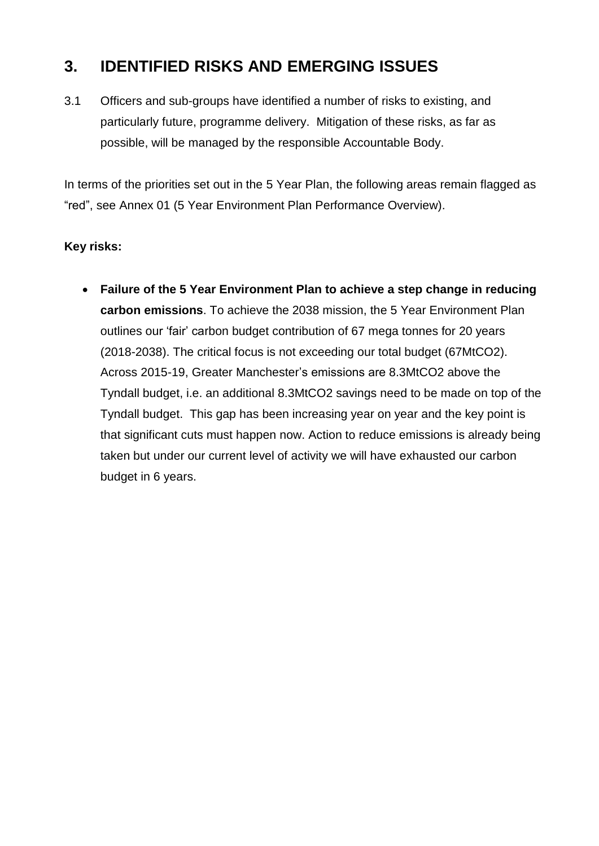### **3. IDENTIFIED RISKS AND EMERGING ISSUES**

3.1 Officers and sub-groups have identified a number of risks to existing, and particularly future, programme delivery. Mitigation of these risks, as far as possible, will be managed by the responsible Accountable Body.

In terms of the priorities set out in the 5 Year Plan, the following areas remain flagged as "red", see Annex 01 (5 Year Environment Plan Performance Overview).

#### **Key risks:**

 **Failure of the 5 Year Environment Plan to achieve a step change in reducing carbon emissions**. To achieve the 2038 mission, the 5 Year Environment Plan outlines our 'fair' carbon budget contribution of 67 mega tonnes for 20 years (2018-2038). The critical focus is not exceeding our total budget (67MtCO2). Across 2015-19, Greater Manchester's emissions are 8.3MtCO2 above the Tyndall budget, i.e. an additional 8.3MtCO2 savings need to be made on top of the Tyndall budget. This gap has been increasing year on year and the key point is that significant cuts must happen now. Action to reduce emissions is already being taken but under our current level of activity we will have exhausted our carbon budget in 6 years.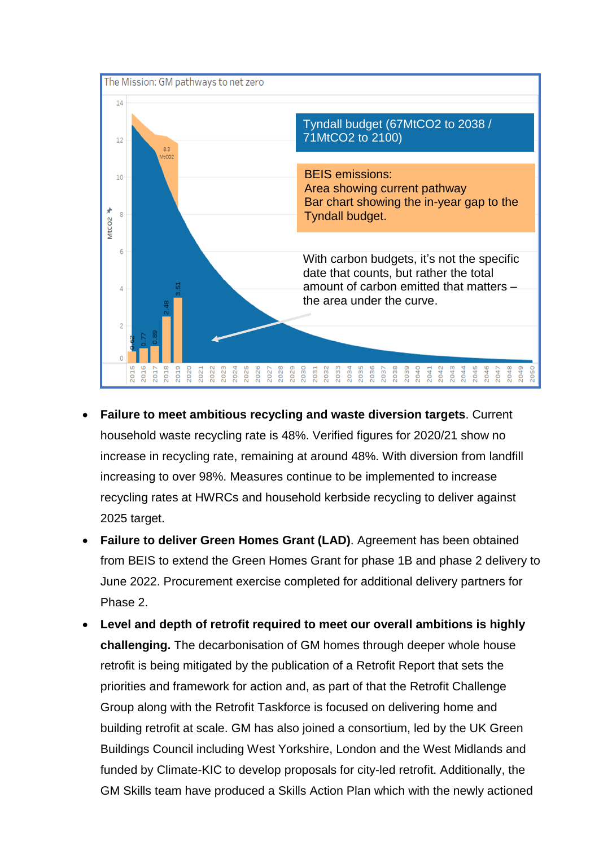

- **Failure to meet ambitious recycling and waste diversion targets**. Current household waste recycling rate is 48%. Verified figures for 2020/21 show no increase in recycling rate, remaining at around 48%. With diversion from landfill increasing to over 98%. Measures continue to be implemented to increase recycling rates at HWRCs and household kerbside recycling to deliver against 2025 target.
- **Failure to deliver Green Homes Grant (LAD)**. Agreement has been obtained from BEIS to extend the Green Homes Grant for phase 1B and phase 2 delivery to June 2022. Procurement exercise completed for additional delivery partners for Phase 2.
- **Level and depth of retrofit required to meet our overall ambitions is highly challenging.** The decarbonisation of GM homes through deeper whole house retrofit is being mitigated by the publication of a Retrofit Report that sets the priorities and framework for action and, as part of that the Retrofit Challenge Group along with the Retrofit Taskforce is focused on delivering home and building retrofit at scale. GM has also joined a consortium, led by the UK Green Buildings Council including West Yorkshire, London and the West Midlands and funded by Climate-KIC to develop proposals for city-led retrofit. Additionally, the GM Skills team have produced a Skills Action Plan which with the newly actioned